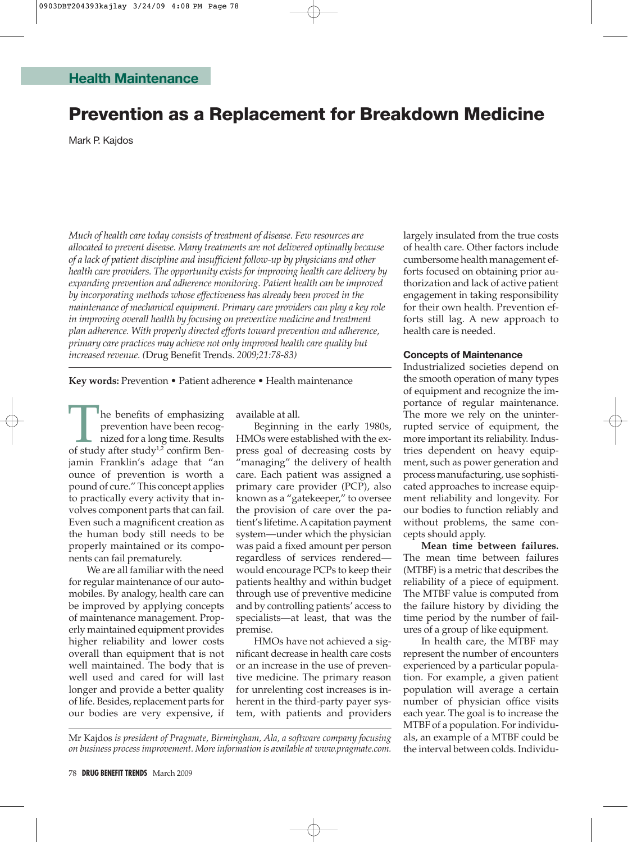# **Prevention as a Replacement for Breakdown Medicine**

Mark P. Kajdos

*Much of health care today consists of treatment of disease. Few resources are allocated to prevent disease. Many treatments are not delivered optimally because of a lack of patient discipline and insufficient follow-up by physicians and other health care providers. The opportunity exists for improving health care delivery by expanding prevention and adherence monitoring. Patient health can be improved by incorporating methods whose effectiveness has already been proved in the maintenance of mechanical equipment. Primary care providers can play a key role in improving overall health by focusing on preventive medicine and treatment plan adherence. With properly directed efforts toward prevention and adherence, primary care practices may achieve not only improved health care quality but increased revenue. (*Drug Benefit Trends. *2009;21:78-83)*

**Key words:** Prevention • Patient adherence • Health maintenance

The benefits of emphasizing<br>prevention have been recog-<br>nized for a long time. Results<br>of study after study<sup>1,2</sup> confirm Benprevention have been recognized for a long time. Results jamin Franklin's adage that "an ounce of prevention is worth a pound of cure." This concept applies to practically every activity that involves component parts that can fail. Even such a magnificent creation as the human body still needs to be properly maintained or its components can fail prematurely.

We are all familiar with the need for regular maintenance of our automobiles. By analogy, health care can be improved by applying concepts of maintenance management. Properly maintained equipment provides higher reliability and lower costs overall than equipment that is not well maintained. The body that is well used and cared for will last longer and provide a better quality of life. Besides, replacement parts for our bodies are very expensive, if

available at all.

Beginning in the early 1980s, HMOs were established with the express goal of decreasing costs by "managing" the delivery of health care. Each patient was assigned a primary care provider (PCP), also known as a "gatekeeper," to oversee the provision of care over the patient's lifetime. Acapitation payment system—under which the physician was paid a fixed amount per person regardless of services rendered would encourage PCPs to keep their patients healthy and within budget through use of preventive medicine and by controlling patients' access to specialists—at least, that was the premise.

HMOs have not achieved a significant decrease in health care costs or an increase in the use of preventive medicine. The primary reason for unrelenting cost increases is inherent in the third-party payer system, with patients and providers largely insulated from the true costs of health care. Other factors include cumbersome health management efforts focused on obtaining prior authorization and lack of active patient engagement in taking responsibility for their own health. Prevention efforts still lag. A new approach to health care is needed.

## **Concepts of Maintenance**

Industrialized societies depend on the smooth operation of many types of equipment and recognize the importance of regular maintenance. The more we rely on the uninterrupted service of equipment, the more important its reliability. Industries dependent on heavy equipment, such as power generation and process manufacturing, use sophisticated approaches to increase equipment reliability and longevity. For our bodies to function reliably and without problems, the same concepts should apply.

**Mean time between failures.** The mean time between failures (MTBF) is a metric that describes the reliability of a piece of equipment. The MTBF value is computed from the failure history by dividing the time period by the number of failures of a group of like equipment.

In health care, the MTBF may represent the number of encounters experienced by a particular population. For example, a given patient population will average a certain number of physician office visits each year. The goal is to increase the MTBF of a population. For individuals, an example of a MTBF could be the interval between colds. Individu-

Mr Kajdos *is president of Pragmate, Birmingham, Ala, a software company focusing on business process improvement. More information is available at www.pragmate.com.*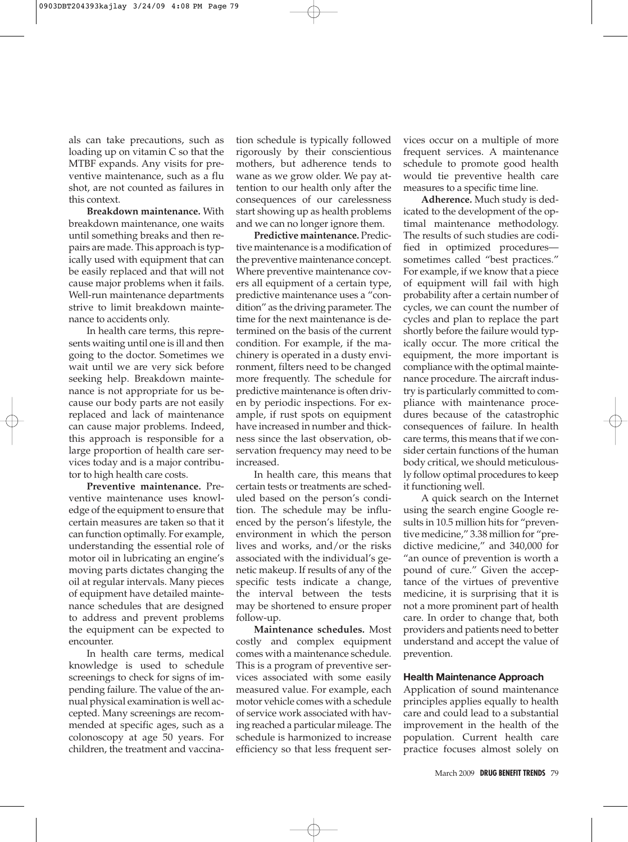als can take precautions, such as loading up on vitamin C so that the MTBF expands. Any visits for preventive maintenance, such as a flu shot, are not counted as failures in this context.

**Breakdown maintenance.** With breakdown maintenance, one waits until something breaks and then repairs are made. This approach is typically used with equipment that can be easily replaced and that will not cause major problems when it fails. Well-run maintenance departments strive to limit breakdown maintenance to accidents only.

In health care terms, this represents waiting until one is ill and then going to the doctor. Sometimes we wait until we are very sick before seeking help. Breakdown maintenance is not appropriate for us because our body parts are not easily replaced and lack of maintenance can cause major problems. Indeed, this approach is responsible for a large proportion of health care services today and is a major contributor to high health care costs.

**Preventive maintenance.** Preventive maintenance uses knowledge of the equipment to ensure that certain measures are taken so that it can function optimally. For example, understanding the essential role of motor oil in lubricating an engine's moving parts dictates changing the oil at regular intervals. Many pieces of equipment have detailed maintenance schedules that are designed to address and prevent problems the equipment can be expected to encounter.

In health care terms, medical knowledge is used to schedule screenings to check for signs of impending failure. The value of the annual physical examination is well accepted. Many screenings are recommended at specific ages, such as a colonoscopy at age 50 years. For children, the treatment and vaccination schedule is typically followed rigorously by their conscientious mothers, but adherence tends to wane as we grow older. We pay attention to our health only after the consequences of our carelessness start showing up as health problems and we can no longer ignore them.

**Predictive maintenance.** Predictive maintenance is a modification of the preventive maintenance concept. Where preventive maintenance covers all equipment of a certain type, predictive maintenance uses a "condition" as the driving parameter. The time for the next maintenance is determined on the basis of the current condition. For example, if the machinery is operated in a dusty environment, filters need to be changed more frequently. The schedule for predictive maintenance is often driven by periodic inspections. For example, if rust spots on equipment have increased in number and thickness since the last observation, observation frequency may need to be increased.

In health care, this means that certain tests or treatments are scheduled based on the person's condition. The schedule may be influenced by the person's lifestyle, the environment in which the person lives and works, and/or the risks associated with the individual's genetic makeup. If results of any of the specific tests indicate a change, the interval between the tests may be shortened to ensure proper follow-up.

**Maintenance schedules.** Most costly and complex equipment comes with a maintenance schedule. This is a program of preventive services associated with some easily measured value. For example, each motor vehicle comes with a schedule of service work associated with having reached a particular mileage. The schedule is harmonized to increase efficiency so that less frequent ser-

vices occur on a multiple of more frequent services. A maintenance schedule to promote good health would tie preventive health care measures to a specific time line.

**Adherence.** Much study is dedicated to the development of the optimal maintenance methodology. The results of such studies are codified in optimized procedures sometimes called "best practices." For example, if we know that a piece of equipment will fail with high probability after a certain number of cycles, we can count the number of cycles and plan to replace the part shortly before the failure would typically occur. The more critical the equipment, the more important is compliance with the optimal maintenance procedure. The aircraft industry is particularly committed to compliance with maintenance procedures because of the catastrophic consequences of failure. In health care terms, this means that if we consider certain functions of the human body critical, we should meticulously follow optimal procedures to keep it functioning well.

A quick search on the Internet using the search engine Google results in 10.5 million hits for "preventive medicine," 3.38 million for "predictive medicine," and 340,000 for "an ounce of prevention is worth a pound of cure." Given the acceptance of the virtues of preventive medicine, it is surprising that it is not a more prominent part of health care. In order to change that, both providers and patients need to better understand and accept the value of prevention.

### **Health Maintenance Approach**

Application of sound maintenance principles applies equally to health care and could lead to a substantial improvement in the health of the population. Current health care practice focuses almost solely on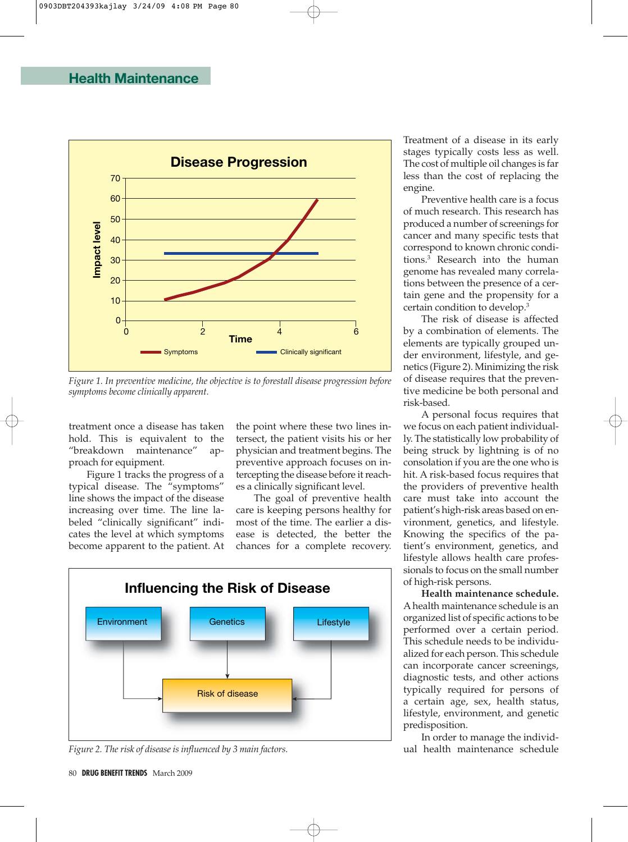

*Figure 1. In preventive medicine, the objective is to forestall disease progression before symptoms become clinically apparent.*

treatment once a disease has taken hold. This is equivalent to the "breakdown maintenance" approach for equipment.

Figure 1 tracks the progress of a typical disease. The "symptoms" line shows the impact of the disease increasing over time. The line labeled "clinically significant" indicates the level at which symptoms become apparent to the patient. At the point where these two lines intersect, the patient visits his or her physician and treatment begins. The preventive approach focuses on intercepting the disease before it reaches a clinically significant level.

The goal of preventive health care is keeping persons healthy for most of the time. The earlier a disease is detected, the better the chances for a complete recovery.



*Figure 2. The risk of disease is influenced by 3 main factors.*

Treatment of a disease in its early stages typically costs less as well. The cost of multiple oil changes is far less than the cost of replacing the engine.

Preventive health care is a focus of much research. This research has produced a number of screenings for cancer and many specific tests that correspond to known chronic conditions.3 Research into the human genome has revealed many correlations between the presence of a certain gene and the propensity for a certain condition to develop.3

The risk of disease is affected by a combination of elements. The elements are typically grouped under environment, lifestyle, and genetics (Figure 2). Minimizing the risk of disease requires that the preventive medicine be both personal and risk-based.

A personal focus requires that we focus on each patient individually. The statistically low probability of being struck by lightning is of no consolation if you are the one who is hit. A risk-based focus requires that the providers of preventive health care must take into account the patient's high-risk areas based on environment, genetics, and lifestyle. Knowing the specifics of the patient's environment, genetics, and lifestyle allows health care professionals to focus on the small number of high-risk persons.

**Health maintenance schedule.** A health maintenance schedule is an organized list of specific actions to be performed over a certain period. This schedule needs to be individualized for each person. This schedule can incorporate cancer screenings, diagnostic tests, and other actions typically required for persons of a certain age, sex, health status, lifestyle, environment, and genetic predisposition.

In order to manage the individual health maintenance schedule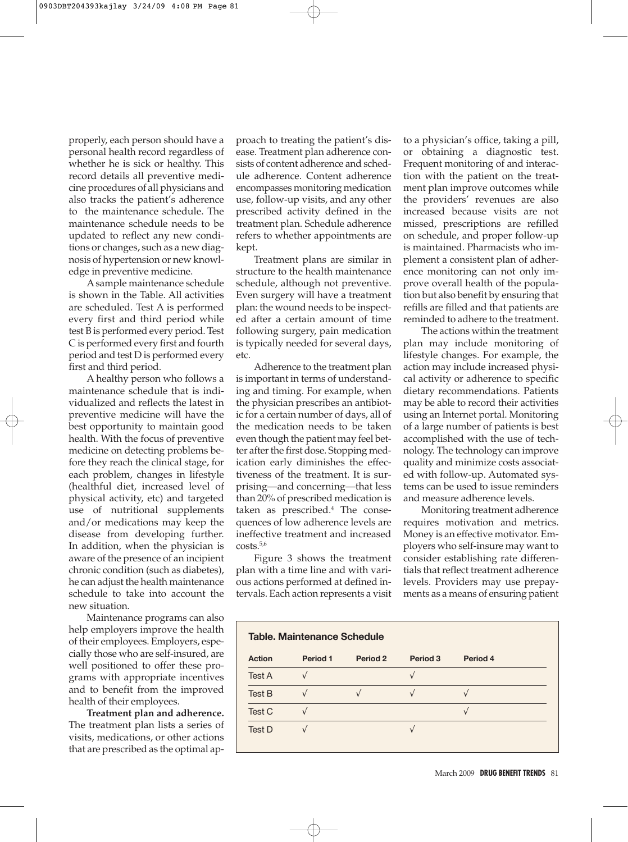properly, each person should have a personal health record regardless of whether he is sick or healthy. This record details all preventive medicine procedures of all physicians and also tracks the patient's adherence to the maintenance schedule. The maintenance schedule needs to be updated to reflect any new conditions or changes, such as a new diagnosis of hypertension or new knowledge in preventive medicine.

A sample maintenance schedule is shown in the Table. All activities are scheduled. Test A is performed every first and third period while test B is performed every period. Test C is performed every first and fourth period and test D is performed every first and third period.

A healthy person who follows a maintenance schedule that is individualized and reflects the latest in preventive medicine will have the best opportunity to maintain good health. With the focus of preventive medicine on detecting problems before they reach the clinical stage, for each problem, changes in lifestyle (healthful diet, increased level of physical activity, etc) and targeted use of nutritional supplements and/or medications may keep the disease from developing further. In addition, when the physician is aware of the presence of an incipient chronic condition (such as diabetes), he can adjust the health maintenance schedule to take into account the new situation.

Maintenance programs can also help employers improve the health of their employees. Employers, especially those who are self-insured, are well positioned to offer these programs with appropriate incentives and to benefit from the improved health of their employees.

**Treatment plan and adherence.** The treatment plan lists a series of visits, medications, or other actions that are prescribed as the optimal approach to treating the patient's disease. Treatment plan adherence consists of content adherence and schedule adherence. Content adherence encompasses monitoring medication use, follow-up visits, and any other prescribed activity defined in the treatment plan. Schedule adherence refers to whether appointments are kept.

Treatment plans are similar in structure to the health maintenance schedule, although not preventive. Even surgery will have a treatment plan: the wound needs to be inspected after a certain amount of time following surgery, pain medication is typically needed for several days, etc.

Adherence to the treatment plan is important in terms of understanding and timing. For example, when the physician prescribes an antibiotic for a certain number of days, all of the medication needs to be taken even though the patient may feel better after the first dose. Stopping medication early diminishes the effectiveness of the treatment. It is surprising—and concerning—that less than 20% of prescribed medication is taken as prescribed.<sup>4</sup> The consequences of low adherence levels are ineffective treatment and increased  $costs.<sup>5,6</sup>$ 

Figure 3 shows the treatment plan with a time line and with various actions performed at defined intervals. Each action represents a visit

to a physician's office, taking a pill, or obtaining a diagnostic test. Frequent monitoring of and interaction with the patient on the treatment plan improve outcomes while the providers' revenues are also increased because visits are not missed, prescriptions are refilled on schedule, and proper follow-up is maintained. Pharmacists who implement a consistent plan of adherence monitoring can not only improve overall health of the population but also benefit by ensuring that refills are filled and that patients are reminded to adhere to the treatment.

The actions within the treatment plan may include monitoring of lifestyle changes. For example, the action may include increased physical activity or adherence to specific dietary recommendations. Patients may be able to record their activities using an Internet portal. Monitoring of a large number of patients is best accomplished with the use of technology. The technology can improve quality and minimize costs associated with follow-up. Automated systems can be used to issue reminders and measure adherence levels.

Monitoring treatment adherence requires motivation and metrics. Money is an effective motivator. Employers who self-insure may want to consider establishing rate differentials that reflect treatment adherence levels. Providers may use prepayments as a means of ensuring patient

| <b>Table. Maintenance Schedule</b> |          |                     |          |          |
|------------------------------------|----------|---------------------|----------|----------|
| <b>Action</b>                      | Period 1 | Period <sub>2</sub> | Period 3 | Period 4 |
| <b>Test A</b>                      |          |                     |          |          |
| Test B                             |          |                     |          |          |
| Test C                             |          |                     |          |          |
| Test D                             |          |                     |          |          |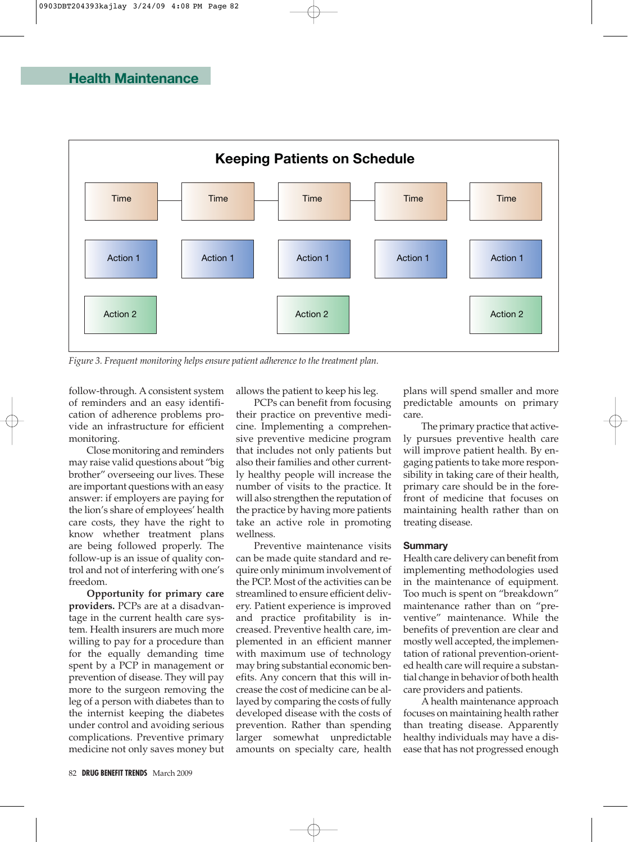

*Figure 3. Frequent monitoring helps ensure patient adherence to the treatment plan.*

follow-through. A consistent system of reminders and an easy identification of adherence problems provide an infrastructure for efficient monitoring.

Close monitoring and reminders may raise valid questions about "big brother" overseeing our lives. These are important questions with an easy answer: if employers are paying for the lion's share of employees' health care costs, they have the right to know whether treatment plans are being followed properly. The follow-up is an issue of quality control and not of interfering with one's freedom.

**Opportunity for primary care providers.** PCPs are at a disadvantage in the current health care system. Health insurers are much more willing to pay for a procedure than for the equally demanding time spent by a PCP in management or prevention of disease. They will pay more to the surgeon removing the leg of a person with diabetes than to the internist keeping the diabetes under control and avoiding serious complications. Preventive primary medicine not only saves money but allows the patient to keep his leg.

PCPs can benefit from focusing their practice on preventive medicine. Implementing a comprehensive preventive medicine program that includes not only patients but also their families and other currently healthy people will increase the number of visits to the practice. It will also strengthen the reputation of the practice by having more patients take an active role in promoting wellness.

Preventive maintenance visits can be made quite standard and require only minimum involvement of the PCP. Most of the activities can be streamlined to ensure efficient delivery. Patient experience is improved and practice profitability is increased. Preventive health care, implemented in an efficient manner with maximum use of technology may bring substantial economic benefits. Any concern that this will increase the cost of medicine can be allayed by comparing the costs of fully developed disease with the costs of prevention. Rather than spending larger somewhat unpredictable amounts on specialty care, health

plans will spend smaller and more predictable amounts on primary care.

The primary practice that actively pursues preventive health care will improve patient health. By engaging patients to take more responsibility in taking care of their health, primary care should be in the forefront of medicine that focuses on maintaining health rather than on treating disease.

### **Summary**

Health care delivery can benefit from implementing methodologies used in the maintenance of equipment. Too much is spent on "breakdown" maintenance rather than on "preventive" maintenance. While the benefits of prevention are clear and mostly well accepted, the implementation of rational prevention-oriented health care will require a substantial change in behavior of both health care providers and patients.

A health maintenance approach focuses on maintaining health rather than treating disease. Apparently healthy individuals may have a disease that has not progressed enough